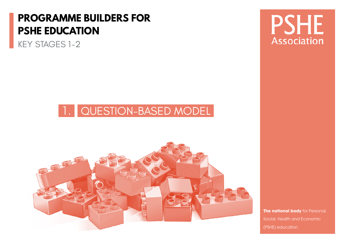## **PROGRAMME BUILDERS FOR PSHE EDUCATION**

KEY STAGES 1-2

## 1. QUESTION-BASED MODEL



**PSHE Association** 

**The national body** for Personal, Social, Health and Economic (PSHE) education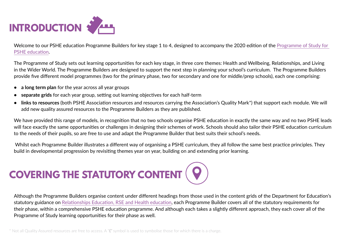

Welcome to our PSHE education Programme Builders for key stage 1 to 4, designed to accompany the 2020 edition of the [Programme of Study for](https://www.pshe-association.org.uk/curriculum-and-resources/resources/programme-study-pshe-education-key-stages-1%E2%80%935)  [PSHE education](https://www.pshe-association.org.uk/curriculum-and-resources/resources/programme-study-pshe-education-key-stages-1%E2%80%935).

The Programme of Study sets out learning opportunities for each key stage, in three core themes: Health and Wellbeing, Relationships, and Living in the Wider World. The Programme Builders are designed to support the next step in planning your school's curriculum. The Programme Builders provide five different model programmes (two for the primary phase, two for secondary and one for middle/prep schools), each one comprising:

- **• a long term plan** for the year across all year groups
- **• separate grids** for each year group, setting out learning objectives for each half-term
- **• links to resources** (both PSHE Association resources and resources carrying the Association's Quality Mark\*) that support each module. We will add new quality assured resources to the Programme Builders as they are published.

We have provided this range of models, in recognition that no two schools organise PSHE education in exactly the same way and no two PSHE leads will face exactly the same opportunities or challenges in designing their schemes of work. Schools should also tailor their PSHE education curriculum to the needs of their pupils, so are free to use and adapt the Programme Builder that best suits their school's needs.

 Whilst each Programme Builder illustrates a different way of organising a PSHE curriculum, they all follow the same best practice principles. They build in developmental progression by revisiting themes year on year, building on and extending prior learning.

# **COVERING THE STATUTORY CONTENT (9)**

Although the Programme Builders organise content under different headings from those used in the content grids of the Department for Education's statutory guidance on [Relationships Education, RSE and Health education,](https://www.gov.uk/government/publications/relationships-education-relationships-and-sex-education-rse-and-health-education) each Programme Builder covers all of the statutory requirements for their phase, within a comprehensive PSHE education programme. And although each takes a slightly different approach, they each cover all of the Programme of Study learning opportunities for their phase as well.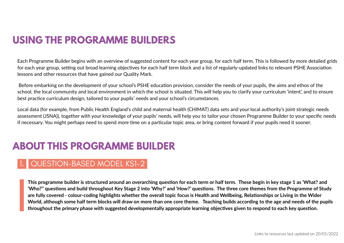Each Programme Builder begins with an overview of suggested content for each year group, for each half term. This is followed by more detailed grids for each year group, setting out broad learning objectives for each half term block and a list of regularly-updated links to relevant PSHE Association lessons and other resources that have gained our Quality Mark.

 Before embarking on the development of your school's PSHE education provision, consider the needs of your pupils, the aims and ethos of the school, the local community and local environment in which the school is situated. This will help you to clarify your curriculum 'intent', and to ensure best practice curriculum design, tailored to your pupils' needs and your school's circumstances.

Local data (for example, from Public Health England's child and maternal health (CHIMAT) data sets and your local authority's joint strategic needs assessment (JSNA)), together with your knowledge of your pupils' needs, will help you to tailor your chosen Programme Builder to your specific needs if necessary. You might perhaps need to spend more time on a particular topic area, or bring content forward if your pupils need it sooner.

### **ABOUT THIS PROGRAMME BUILDER**

#### 1. QUESTION-BASED MODEL KS1-2

**This programme builder is structured around an overarching question for each term or half term. These begin in key stage 1 as 'What? and 'Who?'' questions and build throughout Key Stage 2 into 'Why?' and 'How?' questions. The three core themes from the Programme of Study are fully covered - colour-coding highlights whether the overall topic focus is Health and Wellbeing, Relationships or Living in the Wider World, although some half term blocks will draw on more than one core theme. Teaching builds according to the age and needs of the pupils throughout the primary phase with suggested developmentally appropriate learning objectives given to respond to each key question.**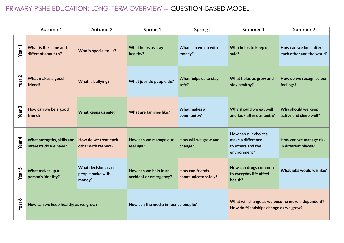#### PRIMARY PSHE EDUCATION: LONG-TERM OVERVIEW — QUESTION-BASED MODEL

|                   | Autumn 1                                            | Autumn 2                                         | Spring 1                                        | Spring 2                                      | Summer 1                                                                                 | Summer 2                                           |
|-------------------|-----------------------------------------------------|--------------------------------------------------|-------------------------------------------------|-----------------------------------------------|------------------------------------------------------------------------------------------|----------------------------------------------------|
| Year <sub>1</sub> | What is the same and<br>different about us?         | Who is special to us?                            | What helps us stay<br>healthy?                  | What can we do with<br>money?                 | Who helps to keep us<br>safe?                                                            | How can we look after<br>each other and the world? |
| Year <sub>2</sub> | What makes a good<br>friend?                        | What is bullying?                                | What jobs do people do?                         | What helps us to stay<br>safe?                | What helps us grow and<br>stay healthy?                                                  | How do we recognise our<br>feelings?               |
| Year <sub>3</sub> | How can we be a good<br>friend?                     | What keeps us safe?                              | What are families like?                         | What makes a<br>community?                    | Why should we eat well<br>and look after our teeth?                                      | Why should we keep<br>active and sleep well?       |
| Year 4            | What strengths, skills and<br>interests do we have? | How do we treat each<br>other with respect?      | How can we manage our<br>feelings?              | How will we grow and<br>change?               | How can our choices<br>make a difference<br>to others and the<br>environment?            | How can we manage risk<br>in different places?     |
| 5<br><b>Year</b>  | What makes up a<br>person's identity?               | What decisions can<br>people make with<br>money? | How can we help in an<br>accident or emergency? | <b>How can friends</b><br>communicate safely? | How can drugs common<br>to everyday life affect<br>health?                               | What jobs would we like?                           |
| $\bullet$<br>Year | How can we keep healthy as we grow?                 |                                                  | How can the media influence people?             |                                               | What will change as we become more independent?<br>How do friendships change as we grow? |                                                    |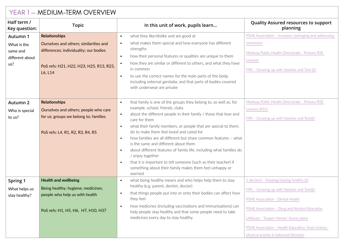| YEAR 1 - MEDIUM-TERM OVERVIEW                                 |                                                                                                                                                     |                                                                                                                                                                                                                                                                                                                                                                                                                                                                                                                                                                                                                                                                                                                                     |                                                                                                                                                                                                                                                                                                                         |  |  |
|---------------------------------------------------------------|-----------------------------------------------------------------------------------------------------------------------------------------------------|-------------------------------------------------------------------------------------------------------------------------------------------------------------------------------------------------------------------------------------------------------------------------------------------------------------------------------------------------------------------------------------------------------------------------------------------------------------------------------------------------------------------------------------------------------------------------------------------------------------------------------------------------------------------------------------------------------------------------------------|-------------------------------------------------------------------------------------------------------------------------------------------------------------------------------------------------------------------------------------------------------------------------------------------------------------------------|--|--|
| Half term /<br>Key question:                                  | <b>Topic</b>                                                                                                                                        | In this unit of work, pupils learn                                                                                                                                                                                                                                                                                                                                                                                                                                                                                                                                                                                                                                                                                                  | Quality Assured resources to support<br>planning                                                                                                                                                                                                                                                                        |  |  |
| Autumn 1<br>What is the<br>same and<br>different about<br>us? | <b>Relationships</b><br>Ourselves and others; similarities and<br>differences; individuality; our bodies<br>PoS refs: H21, H22, H23, H25, R13, R23, | what they like/dislike and are good at<br>$\bullet$<br>what makes them special and how everyone has different<br>$\bullet$<br>strengths<br>how their personal features or qualities are unique to them<br>$\bullet$<br>how they are similar or different to others, and what they have<br>$\bullet$<br>in common                                                                                                                                                                                                                                                                                                                                                                                                                    | PSHE Association - Inclusion, belonging and addressing<br>extremism<br>Medway Public Health Directorate - Primary RSE<br>Lessons<br>FPA - Growing up with Yasmine and Tom $(E)$                                                                                                                                         |  |  |
|                                                               | L6, L14                                                                                                                                             | to use the correct names for the main parts of the body,<br>$\bullet$<br>including external genitalia; and that parts of bodies covered<br>with underwear are private                                                                                                                                                                                                                                                                                                                                                                                                                                                                                                                                                               |                                                                                                                                                                                                                                                                                                                         |  |  |
| Autumn 2<br>Who is special<br>to us?                          | <b>Relationships</b><br>Ourselves and others; people who care<br>for us; groups we belong to; families<br>PoS refs: L4, R1, R2, R3, R4, R5          | that family is one of the groups they belong to, as well as, for<br>$\bullet$<br>example, school, friends, clubs<br>about the different people in their family / those that love and<br>$\bullet$<br>care for them<br>what their family members, or people that are special to them,<br>$\bullet$<br>do to make them feel loved and cared for<br>how families are all different but share common features - what<br>$\bullet$<br>is the same and different about them<br>about different features of family life, including what families do<br>$\bullet$<br>/ enjoy together<br>that it is important to tell someone (such as their teacher) if<br>$\bullet$<br>something about their family makes them feel unhappy or<br>worried | Medway Public Health Directorate - Primary RSE<br>Lessons (KS1)<br>FPA - Growing up with Yasmine and $Tom(E)$                                                                                                                                                                                                           |  |  |
| Spring 1<br>What helps us<br>stay healthy?                    | <b>Health and wellbeing</b><br>Being healthy; hygiene; medicines;<br>people who help us with health<br>PoS refs: H1, H5, H6, H7, H10, H37           | what being healthy means and who helps help them to stay<br>$\bullet$<br>healthy (e.g. parent, dentist, doctor)<br>that things people put into or onto their bodies can affect how<br>$\bullet$<br>they feel<br>how medicines (including vaccinations and immunisations) can<br>$\bullet$<br>help people stay healthy and that some people need to take<br>medicines every day to stay healthy                                                                                                                                                                                                                                                                                                                                      | 1 decision - Keeping/staying healthy (£)<br>FPA - Growing up with Yasmine and $Tom(E)$<br>PSHE Association - Dental Health<br>PSHE Association - Drug and Alcohol Education<br>Lifebuoy - 'Soaper Heroes' lesson plans<br>PSHE Association - Health Education: food choices,<br>physical activity & balanced lifestyles |  |  |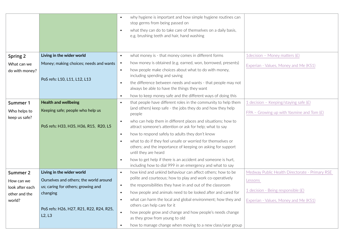|                               |                                         |           | why hygiene is important and how simple hygiene routines can<br>stop germs from being passed on                           |                                                |
|-------------------------------|-----------------------------------------|-----------|---------------------------------------------------------------------------------------------------------------------------|------------------------------------------------|
|                               |                                         | $\bullet$ | what they can do to take care of themselves on a daily basis,<br>e.g. brushing teeth and hair, hand washing               |                                                |
|                               |                                         |           |                                                                                                                           |                                                |
| Spring 2                      | Living in the wider world               | $\bullet$ | what money is - that money comes in different forms                                                                       | 1 decision - Money matters $(E)$               |
| What can we                   | Money; making choices; needs and wants  | $\bullet$ | how money is obtained (e.g. earned, won, borrowed, presents)                                                              | Experian - Values, Money and Me (KS1)          |
| do with money?                |                                         | $\bullet$ | how people make choices about what to do with money,<br>including spending and saving                                     |                                                |
|                               | PoS refs: L10, L11, L12, L13            | $\bullet$ | the difference between needs and wants - that people may not<br>always be able to have the things they want               |                                                |
|                               |                                         | $\bullet$ | how to keep money safe and the different ways of doing this                                                               |                                                |
| Summer 1                      | <b>Health and wellbeing</b>             | $\bullet$ | that people have different roles in the community to help them                                                            | 1 decision - Keeping/staying safe $(E)$        |
| Who helps to<br>keep us safe? | Keeping safe; people who help us        |           | (and others) keep safe - the jobs they do and how they help<br>people                                                     | FPA - Growing up with Yasmine and Tom $(E)$    |
|                               | PoS refs: H33, H35, H36, R15, R20, L5   |           | who can help them in different places and situations; how to<br>attract someone's attention or ask for help; what to say  |                                                |
|                               |                                         | $\bullet$ | how to respond safely to adults they don't know                                                                           |                                                |
|                               |                                         |           | what to do if they feel unsafe or worried for themselves or                                                               |                                                |
|                               |                                         |           | others; and the importance of keeping on asking for support<br>until they are heard                                       |                                                |
|                               |                                         | $\bullet$ | how to get help if there is an accident and someone is hurt,<br>including how to dial 999 in an emergency and what to say |                                                |
| Summer 2                      | Living in the wider world               | $\bullet$ | how kind and unkind behaviour can affect others; how to be                                                                | Medway Public Health Directorate - Primary RSE |
| How can we                    | Ourselves and others; the world around  |           | polite and courteous; how to play and work co-operatively                                                                 | Lessons                                        |
| look after each               | us; caring for others; growing and      | $\bullet$ | the responsibilities they have in and out of the classroom                                                                | 1 decision - Being responsible (£)             |
| other and the                 | changing                                | $\bullet$ | how people and animals need to be looked after and cared for                                                              |                                                |
| world?                        | PoS refs: H26, H27, R21, R22, R24, R25, |           | what can harm the local and global environment; how they and<br>others can help care for it                               | Experian - Values, Money and Me (KS1)          |
|                               | L2, L3                                  | $\bullet$ | how people grow and change and how people's needs change<br>as they grow from young to old                                |                                                |
|                               |                                         | $\bullet$ | how to manage change when moving to a new class/year group                                                                |                                                |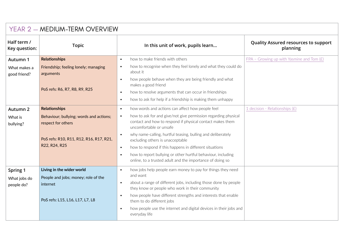| YEAR 2 - MEDIUM-TERM OVERVIEW          |                                                                                                                 |                                                                                                                                                                                                                                                                                                                                                                                                                                       |                                                         |  |  |
|----------------------------------------|-----------------------------------------------------------------------------------------------------------------|---------------------------------------------------------------------------------------------------------------------------------------------------------------------------------------------------------------------------------------------------------------------------------------------------------------------------------------------------------------------------------------------------------------------------------------|---------------------------------------------------------|--|--|
| Half term /<br>Key question:           | <b>Topic</b>                                                                                                    | In this unit of work, pupils learn                                                                                                                                                                                                                                                                                                                                                                                                    | <b>Quality Assured resources to support</b><br>planning |  |  |
| Autumn 1                               | <b>Relationships</b>                                                                                            | how to make friends with others<br>$\bullet$                                                                                                                                                                                                                                                                                                                                                                                          | FPA - Growing up with Yasmine and Tom $(E)$             |  |  |
| What makes a<br>good friend?           | Friendship; feeling lonely; managing<br>arguments                                                               | how to recognise when they feel lonely and what they could do<br>$\bullet$<br>about it                                                                                                                                                                                                                                                                                                                                                |                                                         |  |  |
|                                        | PoS refs: R6, R7, R8, R9, R25                                                                                   | how people behave when they are being friendly and what<br>$\bullet$<br>makes a good friend<br>how to resolve arguments that can occur in friendships<br>$\bullet$<br>how to ask for help if a friendship is making them unhappy<br>$\bullet$                                                                                                                                                                                         |                                                         |  |  |
| Autumn 2                               | <b>Relationships</b>                                                                                            | how words and actions can affect how people feel<br>$\bullet$                                                                                                                                                                                                                                                                                                                                                                         | 1 decision - Relationships (£)                          |  |  |
| What is<br>bullying?                   | Behaviour; bullying; words and actions;<br>respect for others                                                   | how to ask for and give/not give permission regarding physical<br>$\bullet$<br>contact and how to respond if physical contact makes them<br>uncomfortable or unsafe                                                                                                                                                                                                                                                                   |                                                         |  |  |
|                                        | PoS refs: R10, R11, R12, R16, R17, R21,                                                                         | why name-calling, hurtful teasing, bulling and deliberately<br>$\bullet$<br>excluding others is unacceptable                                                                                                                                                                                                                                                                                                                          |                                                         |  |  |
|                                        | R22, R24, R25                                                                                                   | how to respond if this happens in different situations<br>$\bullet$                                                                                                                                                                                                                                                                                                                                                                   |                                                         |  |  |
|                                        |                                                                                                                 | how to report bullying or other hurtful behaviour, including<br>$\bullet$<br>online, to a trusted adult and the importance of doing so                                                                                                                                                                                                                                                                                                |                                                         |  |  |
| Spring 1<br>What jobs do<br>people do? | Living in the wider world<br>People and jobs; money; role of the<br>internet<br>PoS refs: L15, L16, L17, L7, L8 | how jobs help people earn money to pay for things they need<br>$\bullet$<br>and want<br>about a range of different jobs, including those done by people<br>$\bullet$<br>they know or people who work in their community<br>how people have different strengths and interests that enable<br>$\bullet$<br>them to do different jobs<br>how people use the internet and digital devices in their jobs and<br>$\bullet$<br>everyday life |                                                         |  |  |
|                                        |                                                                                                                 |                                                                                                                                                                                                                                                                                                                                                                                                                                       |                                                         |  |  |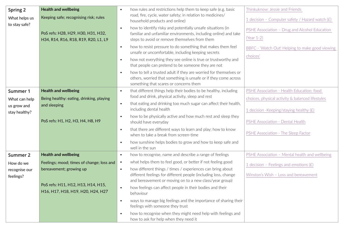| Spring 2                       | <b>Health and wellbeing</b>                                                | $\bullet$ | how rules and restrictions help them to keep safe (e.g. basic                                                                                                                            | Thinkuknow: Jessie and Friends                                |
|--------------------------------|----------------------------------------------------------------------------|-----------|------------------------------------------------------------------------------------------------------------------------------------------------------------------------------------------|---------------------------------------------------------------|
| What helps us<br>to stay safe? | Keeping safe; recognising risk; rules                                      |           | road, fire, cycle, water safety; in relation to medicines/<br>household products and online)                                                                                             | 1 decision - Computer safety / Hazard watch $(E)$             |
|                                | PoS refs: H28, H29, H30, H31, H32,<br>H34, R14, R16, R18, R19, R20, L1, L9 | $\bullet$ | how to identify risky and potentially unsafe situations (in<br>familiar and unfamiliar environments, including online) and take<br>steps to avoid or remove themselves from them         | PSHE Association - Drug and Alcohol Education<br>$(Year 1-2)$ |
|                                |                                                                            | $\bullet$ | how to resist pressure to do something that makes them feel<br>unsafe or uncomfortable, including keeping secrets                                                                        | BBFC - 'Watch Out! Helping to make good viewing<br>choices'   |
|                                |                                                                            | $\bullet$ | how not everything they see online is true or trustworthy and<br>that people can pretend to be someone they are not                                                                      |                                                               |
|                                |                                                                            | $\bullet$ | how to tell a trusted adult if they are worried for themselves or<br>others, worried that something is unsafe or if they come across<br>something that scares or concerns them           |                                                               |
| Summer 1                       | <b>Health and wellbeing</b>                                                | $\bullet$ | that different things help their bodies to be healthy, including                                                                                                                         | PSHE Association - Health Education: food                     |
| What can help                  | Being healthy: eating, drinking, playing                                   |           | food and drink, physical activity, sleep and rest                                                                                                                                        | choices, physical activity & balanced lifestyles              |
| us grow and                    | and sleeping                                                               | $\bullet$ | that eating and drinking too much sugar can affect their health,<br>including dental health                                                                                              | 1 decision - Keeping/staying healthy $(E)$                    |
| stay healthy?                  | PoS refs: H1, H2, H3, H4, H8, H9                                           | $\bullet$ | how to be physically active and how much rest and sleep they<br>should have everyday                                                                                                     | PSHE Association - Dental Health                              |
|                                |                                                                            | $\bullet$ | that there are different ways to learn and play; how to know<br>when to take a break from screen-time                                                                                    | PSHE Association - The Sleep Factor                           |
|                                |                                                                            | $\bullet$ | how sunshine helps bodies to grow and how to keep safe and<br>well in the sun                                                                                                            |                                                               |
| Summer 2                       | <b>Health and wellbeing</b>                                                | $\bullet$ | how to recognise, name and describe a range of feelings                                                                                                                                  | PSHE Association - Mental health and wellbeing                |
| How do we                      | Feelings; mood; times of change; loss and                                  | $\bullet$ | what helps them to feel good, or better if not feeling good                                                                                                                              | 1 decision - Feelings and emotions $(E)$                      |
| recognise our<br>feelings?     | bereavement; growing up                                                    | $\bullet$ | how different things / times / experiences can bring about<br>different feelings for different people (including loss, change<br>and bereavement or moving on to a new class/year group) | Winston's Wish - Loss and bereavement                         |
|                                | PoS refs: H11, H12, H13, H14, H15,<br>H16, H17, H18, H19, H20, H24, H27    | $\bullet$ | how feelings can affect people in their bodies and their<br>behaviour                                                                                                                    |                                                               |
|                                |                                                                            | $\bullet$ | ways to manage big feelings and the importance of sharing their<br>feelings with someone they trust                                                                                      |                                                               |
|                                |                                                                            | $\bullet$ | how to recognise when they might need help with feelings and<br>how to ask for help when they need it                                                                                    |                                                               |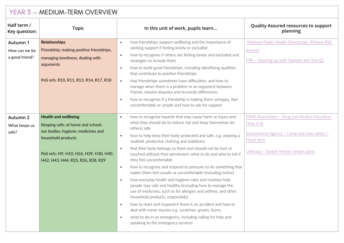| YEAR 3 - MEDIUM-TERM OVERVIEW               |                                                                                                                                                                                                             |                                                                                                                                                                                                                                                                                                                                                                                                                                                                                                                                                                                                                                                                                                                                                                                                                                                                                                                                                                                                                                                                                                            |                                                                                                                                                                        |  |  |
|---------------------------------------------|-------------------------------------------------------------------------------------------------------------------------------------------------------------------------------------------------------------|------------------------------------------------------------------------------------------------------------------------------------------------------------------------------------------------------------------------------------------------------------------------------------------------------------------------------------------------------------------------------------------------------------------------------------------------------------------------------------------------------------------------------------------------------------------------------------------------------------------------------------------------------------------------------------------------------------------------------------------------------------------------------------------------------------------------------------------------------------------------------------------------------------------------------------------------------------------------------------------------------------------------------------------------------------------------------------------------------------|------------------------------------------------------------------------------------------------------------------------------------------------------------------------|--|--|
| Half term /<br>Key question:                | <b>Topic</b>                                                                                                                                                                                                | In this unit of work, pupils learn                                                                                                                                                                                                                                                                                                                                                                                                                                                                                                                                                                                                                                                                                                                                                                                                                                                                                                                                                                                                                                                                         | <b>Quality Assured resources to support</b><br>planning                                                                                                                |  |  |
| Autumn 1<br>How can we be<br>a good friend? | <b>Relationships</b><br>Friendship; making positive friendships,<br>managing loneliness, dealing with<br>arguments<br>PoS refs: R10, R11, R13, R14, R17, R18                                                | how friendships support wellbeing and the importance of<br>$\bullet$<br>seeking support if feeling lonely or excluded<br>how to recognise if others are feeling lonely and excluded and<br>$\bullet$<br>strategies to include them<br>how to build good friendships, including identifying qualities<br>$\bullet$<br>that contribute to positive friendships<br>that friendships sometimes have difficulties, and how to<br>$\bullet$<br>manage when there is a problem or an argument between<br>friends, resolve disputes and reconcile differences<br>how to recognise if a friendship is making them unhappy, feel<br>$\bullet$<br>uncomfortable or unsafe and how to ask for support                                                                                                                                                                                                                                                                                                                                                                                                                  | Medway Public Health Directorate - Primary RSE<br>lessons'<br>FPA - Growing up with Yasmine and Tom $(E)$                                                              |  |  |
| Autumn 2<br>What keeps us<br>safe?          | <b>Health and wellbeing</b><br>Keeping safe; at home and school;<br>our bodies; hygiene; medicines and<br>household products<br>PoS refs: H9, H10, H26, H39, H30, H40,<br>H42, H43, H44, R25, R26, R28, R29 | how to recognise hazards that may cause harm or injury and<br>$\bullet$<br>what they should do to reduce risk and keep themselves (or<br>others) safe<br>how to help keep their body protected and safe, e.g. wearing a<br>$\bullet$<br>seatbelt, protective clothing and stabilizers<br>that their body belongs to them and should not be hurt or<br>$\bullet$<br>touched without their permission; what to do and who to tell if<br>they feel uncomfortable<br>how to recognise and respond to pressure to do something that<br>$\bullet$<br>makes them feel unsafe or uncomfortable (including online)<br>how everyday health and hygiene rules and routines help<br>$\bullet$<br>people stay safe and healthy (including how to manage the<br>use of medicines, such as for allergies and asthma, and other<br>household products, responsibly)<br>how to react and respond if there is an accident and how to<br>$\bullet$<br>deal with minor injuries e.g. scratches, grazes, burns<br>what to do in an emergency, including calling for help and<br>$\bullet$<br>speaking to the emergency services | PSHE Association - Drug and Alcohol Education<br>(Year 3-4)<br>Environment Agency - Canal and river safety /<br>Flood alert<br>Lifebuoy - 'Soaper Heroes' lesson plans |  |  |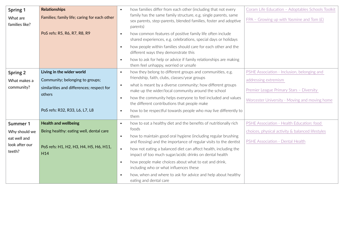| Spring 1                       | <b>Relationships</b>                                | $\bullet$ | how families differ from each other (including that not every                                                                                   | Coram Life Education - Adoptables Schools Toolkit |
|--------------------------------|-----------------------------------------------------|-----------|-------------------------------------------------------------------------------------------------------------------------------------------------|---------------------------------------------------|
| What are<br>families like?     | Families; family life; caring for each other        |           | family has the same family structure, e.g. single parents, same<br>sex parents, step-parents, blended families, foster and adoptive<br>parents) | $FPA - Growing up with Yasmine and Tom (E)$       |
|                                | PoS refs: R5, R6, R7, R8, R9                        | $\bullet$ | how common features of positive family life often include<br>shared experiences, e.g. celebrations, special days or holidays                    |                                                   |
|                                |                                                     | $\bullet$ | how people within families should care for each other and the<br>different ways they demonstrate this                                           |                                                   |
|                                |                                                     | $\bullet$ | how to ask for help or advice if family relationships are making<br>them feel unhappy, worried or unsafe                                        |                                                   |
| Spring 2                       | Living in the wider world                           | $\bullet$ | how they belong to different groups and communities, e.g.                                                                                       | PSHE Association - Inclusion, belonging and       |
| What makes a                   | Community; belonging to groups;                     |           | friendship, faith, clubs, classes/year groups                                                                                                   | addressing extremism                              |
| community?                     | similarities and differences; respect for<br>others | $\bullet$ | what is meant by a diverse community; how different groups<br>make up the wider/local community around the school                               | Premier League Primary Stars - Diversity          |
|                                |                                                     | $\bullet$ | how the community helps everyone to feel included and values<br>the different contributions that people make                                    | Worcester University - Moving and moving home     |
|                                | PoS refs: R32, R33, L6, L7, L8                      | $\bullet$ | how to be respectful towards people who may live differently to<br>them                                                                         |                                                   |
| Summer 1                       | <b>Health and wellbeing</b>                         | $\bullet$ | how to eat a healthy diet and the benefits of nutritionally rich                                                                                | PSHE Association - Health Education: food         |
| Why should we                  | Being healthy: eating well, dental care             |           | foods                                                                                                                                           | choices, physical activity & balanced lifestyles  |
| eat well and<br>look after our |                                                     | $\bullet$ | how to maintain good oral hygiene (including regular brushing<br>and flossing) and the importance of regular visits to the dentist              | PSHE Association - Dental Health                  |
| teeth?                         | PoS refs: H1, H2, H3, H4, H5, H6, H11,<br>H14       | $\bullet$ | how not eating a balanced diet can affect health, including the<br>impact of too much sugar/acidic drinks on dental health                      |                                                   |
|                                |                                                     | $\bullet$ | how people make choices about what to eat and drink,<br>including who or what influences these                                                  |                                                   |
|                                |                                                     | $\bullet$ | how, when and where to ask for advice and help about healthy<br>eating and dental care                                                          |                                                   |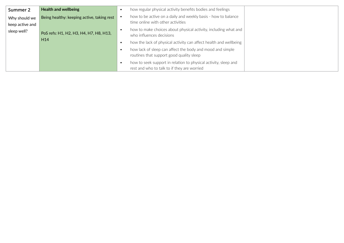| Summer 2                         | <b>Health and wellbeing</b>                |           | how regular physical activity benefits bodies and feelings                                                     |  |
|----------------------------------|--------------------------------------------|-----------|----------------------------------------------------------------------------------------------------------------|--|
| Why should we<br>keep active and | Being healthy: keeping active, taking rest |           | how to be active on a daily and weekly basis - how to balance<br>time online with other activities             |  |
| sleep well?                      | PoS refs: H1, H2, H3, H4, H7, H8, H13,     |           | how to make choices about physical activity, including what and<br>who influences decisions                    |  |
|                                  | H <sub>14</sub>                            |           | how the lack of physical activity can affect health and wellbeing                                              |  |
|                                  |                                            | $\bullet$ | how lack of sleep can affect the body and mood and simple<br>routines that support good quality sleep          |  |
|                                  |                                            |           | how to seek support in relation to physical activity, sleep and<br>rest and who to talk to if they are worried |  |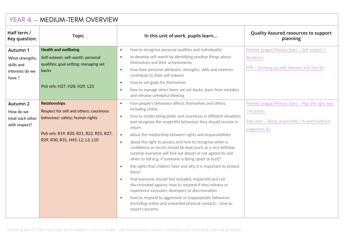| YEAR 4 - MEDIUM-TERM OVERVIEW     |                                                                            |                                                                                                                                                                                                                                                              |                                                         |  |  |
|-----------------------------------|----------------------------------------------------------------------------|--------------------------------------------------------------------------------------------------------------------------------------------------------------------------------------------------------------------------------------------------------------|---------------------------------------------------------|--|--|
| Half term /<br>Key question:      | <b>Topic</b>                                                               | In this unit of work, pupils learn                                                                                                                                                                                                                           | <b>Quality Assured resources to support</b><br>planning |  |  |
| Autumn 1                          | <b>Health and wellbeing</b>                                                | how to recognise personal qualities and individuality<br>$\bullet$                                                                                                                                                                                           | Premier League Primary Stars - Self-esteem /            |  |  |
| What strengths,<br>skills and     | Self-esteem: self-worth; personal<br>qualities; goal setting; managing set | to develop self-worth by identifying positive things about<br>$\bullet$<br>themselves and their achievements                                                                                                                                                 | Resilience                                              |  |  |
| interests do we<br>have ?         | backs                                                                      | how their personal attributes, strengths, skills and interests<br>$\bullet$<br>contribute to their self-esteem                                                                                                                                               | FPA - Growing up with Yasmine and Tom $(E)$             |  |  |
|                                   |                                                                            | how to set goals for themselves<br>$\bullet$                                                                                                                                                                                                                 |                                                         |  |  |
|                                   | PoS refs: H27, H28, H29, L25                                               | how to manage when there are set-backs, learn from mistakes<br>$\bullet$<br>and reframe unhelpful thinking                                                                                                                                                   |                                                         |  |  |
| Autumn 2                          | <b>Relationships</b>                                                       | how people's behaviour affects themselves and others,<br>$\bullet$                                                                                                                                                                                           | Premier League Primary Stars - Play the right way       |  |  |
| How do we                         | Respect for self and others; courteous                                     | including online                                                                                                                                                                                                                                             | / Inclusion                                             |  |  |
| treat each other<br>with respect? | behaviour; safety; human rights                                            | how to model being polite and courteous in different situations<br>$\bullet$<br>and recognise the respectful behaviour they should receive in                                                                                                                | 1decision - Being responsible / A world without         |  |  |
|                                   |                                                                            | return                                                                                                                                                                                                                                                       | judgement (£)                                           |  |  |
|                                   | PoS refs: R19, R20, R21, R22, R25, R27,<br>R29, R30, R31, H45, L2, L3, L10 | about the relationship between rights and responsibilities<br>$\bullet$                                                                                                                                                                                      |                                                         |  |  |
|                                   |                                                                            | about the right to privacy and how to recognise when a<br>$\bullet$<br>confidence or secret should be kept (such as a nice birthday<br>surprise everyone will find out about) or not agreed to and<br>when to tell (e.g. if someone is being upset or hurt)* |                                                         |  |  |
|                                   |                                                                            | the rights that children have and why it is important to protect<br>$\bullet$<br>these <sup>*</sup>                                                                                                                                                          |                                                         |  |  |
|                                   |                                                                            | that everyone should feel included, respected and not<br>$\bullet$<br>discriminated against; how to respond if they witness or<br>experience exclusion, disrespect or discrimination                                                                         |                                                         |  |  |
|                                   |                                                                            | how to respond to aggressive or inappropriate behaviour<br>$\bullet$<br>(including online and unwanted physical contact) - how to<br>report concerns                                                                                                         |                                                         |  |  |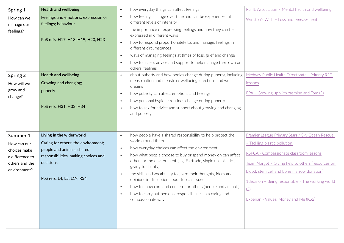| Spring 1                          | <b>Health and wellbeing</b>                                 | how everyday things can affect feelings<br>$\bullet$                                                                                                                                                        | PSHE Association - Mental health and wellbeing    |
|-----------------------------------|-------------------------------------------------------------|-------------------------------------------------------------------------------------------------------------------------------------------------------------------------------------------------------------|---------------------------------------------------|
| How can we<br>manage our          | Feelings and emotions; expression of<br>feelings; behaviour | how feelings change over time and can be experienced at<br>$\bullet$<br>different levels of intensity                                                                                                       | Winston's Wish - Loss and bereavement             |
| feelings?                         | PoS refs: H17, H18, H19, H20, H23                           | the importance of expressing feelings and how they can be<br>$\bullet$<br>expressed in different ways<br>how to respond proportionately to, and manage, feelings in<br>$\bullet$<br>different circumstances |                                                   |
|                                   |                                                             | ways of managing feelings at times of loss, grief and change<br>$\bullet$                                                                                                                                   |                                                   |
|                                   |                                                             | how to access advice and support to help manage their own or<br>$\bullet$<br>others' feelings                                                                                                               |                                                   |
| Spring 2                          | <b>Health and wellbeing</b>                                 | about puberty and how bodies change during puberty, including<br>$\bullet$                                                                                                                                  | Medway Public Health Directorate - Primary RSE    |
| How will we                       | Growing and changing;                                       | menstruation and menstrual wellbeing, erections and wet<br>dreams                                                                                                                                           | lessons                                           |
| grow and<br>change?               | puberty                                                     | how puberty can affect emotions and feelings<br>$\bullet$                                                                                                                                                   | FPA - Growing up with Yasmine and Tom $(E)$       |
|                                   | PoS refs: H31, H32, H34                                     | how personal hygiene routines change during puberty<br>$\bullet$<br>how to ask for advice and support about growing and changing<br>$\bullet$<br>and puberty                                                |                                                   |
| Summer 1                          | Living in the wider world                                   | how people have a shared responsibility to help protect the<br>$\bullet$                                                                                                                                    | Premier League Primary Stars / Sky Ocean Rescue   |
| How can our                       | Caring for others; the environment;                         | world around them                                                                                                                                                                                           | - Tackling plastic pollution                      |
| choices make                      | people and animals; shared                                  | how everyday choices can affect the environment<br>$\bullet$<br>how what people choose to buy or spend money on can affect<br>$\bullet$                                                                     | RSPCA - Compassionate classroom lessons           |
| a difference to<br>others and the | responsibilities, making choices and<br>decisions           | others or the environment (e.g. Fairtrade, single use plastics,                                                                                                                                             | Team Margot - Giving help to others (resources on |
| environment?                      |                                                             | giving to charity)<br>the skills and vocabulary to share their thoughts, ideas and                                                                                                                          | blood, stem cell and bone marrow donation)        |
|                                   | PoS refs: L4, L5, L19, R34                                  | $\bullet$<br>opinions in discussion about topical issues                                                                                                                                                    | 1decision - Being responsible / The working world |
|                                   |                                                             | how to show care and concern for others (people and animals)<br>$\bullet$                                                                                                                                   | (E)                                               |
|                                   |                                                             | how to carry out personal responsibilities in a caring and<br>compassionate way                                                                                                                             | Experian - Values, Money and Me (KS2)             |
|                                   |                                                             |                                                                                                                                                                                                             |                                                   |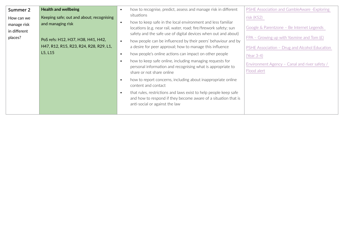| Summer 2     | <b>Health and wellbeing</b>              | how to recognise, predict, assess and manage risk in different<br>$\bullet$              | PSHE Association and GambleAware - Exploring  |
|--------------|------------------------------------------|------------------------------------------------------------------------------------------|-----------------------------------------------|
| How can we   | Keeping safe; out and about; recognising | situations                                                                               | risk (KS2)                                    |
| manage risk  | and managing risk                        | how to keep safe in the local environment and less familiar<br>$\bullet$                 |                                               |
| in different |                                          | locations (e.g. near rail, water, road; fire/firework safety; sun                        | Google & Parentzone - Be Internet Legends     |
| places?      |                                          | safety and the safe use of digital devices when out and about)                           | FPA - Growing up with Yasmine and Tom $(E)$   |
|              | PoS refs: H12, H37, H38, H41, H42,       | how people can be influenced by their peers' behaviour and by                            |                                               |
|              | H47, R12, R15, R23, R24, R28, R29, L1,   | a desire for peer approval; how to manage this influence                                 | PSHE Association - Drug and Alcohol Education |
|              | L5, L15                                  | how people's online actions can impact on other people<br>$\bullet$                      | (Year 3-4)                                    |
|              |                                          | how to keep safe online, including managing requests for                                 | Environment Agency - Canal and river safety / |
|              |                                          | personal information and recognising what is appropriate to<br>share or not share online | Flood alert                                   |
|              |                                          |                                                                                          |                                               |
|              |                                          | how to report concerns, including about inappropriate online<br>content and contact      |                                               |
|              |                                          | that rules, restrictions and laws exist to help people keep safe<br>$\bullet$            |                                               |
|              |                                          | and how to respond if they become aware of a situation that is                           |                                               |
|              |                                          | anti-social or against the law                                                           |                                               |
|              |                                          |                                                                                          |                                               |
|              |                                          |                                                                                          |                                               |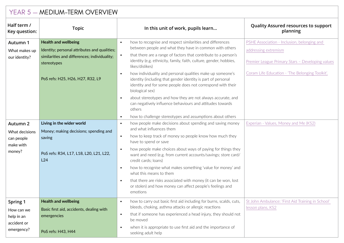|                                                                   | YEAR 5 - MEDIUM-TERM OVERVIEW                                                                                                                                                  |                                                                                                                                                                                                                                                                                                                                                                                                                                                                                                                                                                                                                                                                                            |                                                                                                                                                                            |  |  |  |
|-------------------------------------------------------------------|--------------------------------------------------------------------------------------------------------------------------------------------------------------------------------|--------------------------------------------------------------------------------------------------------------------------------------------------------------------------------------------------------------------------------------------------------------------------------------------------------------------------------------------------------------------------------------------------------------------------------------------------------------------------------------------------------------------------------------------------------------------------------------------------------------------------------------------------------------------------------------------|----------------------------------------------------------------------------------------------------------------------------------------------------------------------------|--|--|--|
| Half term /<br>Key question:                                      | <b>Topic</b>                                                                                                                                                                   | In this unit of work, pupils learn                                                                                                                                                                                                                                                                                                                                                                                                                                                                                                                                                                                                                                                         | <b>Quality Assured resources to support</b><br>planning                                                                                                                    |  |  |  |
| Autumn 1<br>What makes up<br>our identity?                        | <b>Health and wellbeing</b><br>Identity; personal attributes and qualities;<br>similarities and differences; individuality;<br>stereotypes<br>PoS refs: H25, H26, H27, R32, L9 | how to recognise and respect similarities and differences<br>$\bullet$<br>between people and what they have in common with others<br>that there are a range of factors that contribute to a person's<br>$\bullet$<br>identity (e.g. ethnicity, family, faith, culture, gender, hobbies,<br>likes/dislikes)<br>how individuality and personal qualities make up someone's<br>$\bullet$<br>identity (including that gender identity is part of personal<br>identity and for some people does not correspond with their<br>biological sex)<br>about stereotypes and how they are not always accurate, and<br>$\bullet$<br>can negatively influence behaviours and attitudes towards<br>others | PSHE Association - Inclusion, belonging and<br>addressing extremism<br>Premier League Primary Stars - Developing values<br>Coram Life Education - 'The Belonging Toolkit', |  |  |  |
|                                                                   |                                                                                                                                                                                | how to challenge stereotypes and assumptions about others<br>$\bullet$                                                                                                                                                                                                                                                                                                                                                                                                                                                                                                                                                                                                                     |                                                                                                                                                                            |  |  |  |
| Autumn 2<br>What decisions<br>can people<br>make with<br>money?   | Living in the wider world<br>Money; making decisions; spending and<br>saving<br>PoS refs: R34, L17, L18, L20, L21, L22,<br>L24                                                 | how people make decisions about spending and saving money<br>$\bullet$<br>and what influences them<br>how to keep track of money so people know how much they<br>$\bullet$<br>have to spend or save<br>how people make choices about ways of paying for things they<br>$\bullet$<br>want and need (e.g. from current accounts/savings; store card/<br>credit cards; loans)<br>how to recognise what makes something 'value for money' and<br>$\bullet$<br>what this means to them<br>that there are risks associated with money (it can be won, lost<br>$\bullet$<br>or stolen) and how money can affect people's feelings and<br>emotions                                                 | Experian - Values, Money and Me (KS2)                                                                                                                                      |  |  |  |
| Spring 1<br>How can we<br>help in an<br>accident or<br>emergency? | <b>Health and wellbeing</b><br>Basic first aid, accidents, dealing with<br>emergencies<br>PoS refs: H43, H44                                                                   | how to carry out basic first aid including for burns, scalds, cuts,<br>$\bullet$<br>bleeds, choking, asthma attacks or allergic reactions<br>that if someone has experienced a head injury, they should not<br>$\bullet$<br>be moved<br>when it is appropriate to use first aid and the importance of<br>$\bullet$<br>seeking adult help                                                                                                                                                                                                                                                                                                                                                   | St John Ambulance: 'First Aid Training in School'<br>lesson plans, KS2                                                                                                     |  |  |  |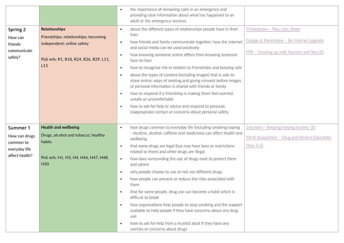|                                 |                                                    | the importance of remaining calm in an emergency and<br>$\bullet$<br>providing clear information about what has happened to an                     |                                               |
|---------------------------------|----------------------------------------------------|----------------------------------------------------------------------------------------------------------------------------------------------------|-----------------------------------------------|
|                                 |                                                    | adult or the emergency services                                                                                                                    |                                               |
| Spring 2                        | <b>Relationships</b>                               | about the different types of relationships people have in their<br>$\bullet$                                                                       | Thinkuknow - Play, Like, Share                |
| How can                         | Friendships; relationships; becoming               | lives                                                                                                                                              | Google & Parentzone - Be Internet Legends     |
| friends                         | independent; online safety                         | how friends and family communicate together; how the internet<br>$\bullet$<br>and social media can be used positively                              |                                               |
| communicate                     |                                                    | how knowing someone online differs from knowing someone<br>$\bullet$                                                                               | FPA - Growing up with Yasmine and Tom $(E)$   |
| safely?                         | PoS refs: R1, R18, R24, R26, R29, L11,             | face-to-face                                                                                                                                       |                                               |
|                                 | L15                                                | how to recognise risk in relation to friendships and keeping safe<br>$\bullet$                                                                     |                                               |
|                                 |                                                    | about the types of content (including images) that is safe to<br>$\bullet$                                                                         |                                               |
|                                 |                                                    | share online; ways of seeking and giving consent before images<br>or personal information is shared with friends or family                         |                                               |
|                                 |                                                    | how to respond if a friendship is making them feel worried,<br>$\bullet$                                                                           |                                               |
|                                 |                                                    | unsafe or uncomfortable                                                                                                                            |                                               |
|                                 |                                                    | how to ask for help or advice and respond to pressure,<br>$\bullet$                                                                                |                                               |
|                                 |                                                    | inappropriate contact or concerns about personal safety                                                                                            |                                               |
|                                 |                                                    |                                                                                                                                                    |                                               |
| Summer 1                        | <b>Health and wellbeing</b>                        | how drugs common to everyday life (including smoking/vaping<br>$\bullet$                                                                           | 1decision - Keeping/staying healthy (£)       |
| How can drugs                   | Drugs, alcohol and tobacco; healthy                | - nicotine, alcohol, caffeine and medicines) can affect health and<br>wellbeing                                                                    | PSHE Association - Drug and Alcohol Education |
| common to                       | habits                                             | that some drugs are legal (but may have laws or restrictions<br>$\bullet$                                                                          | (Year 5-6)                                    |
| everyday life<br>affect health? |                                                    | related to them) and other drugs are illegal                                                                                                       |                                               |
|                                 | PoS refs: H1, H3, H4, H46, H47, H48,<br><b>H50</b> | how laws surrounding the use of drugs exist to protect them<br>$\bullet$<br>and others                                                             |                                               |
|                                 |                                                    | why people choose to use or not use different drugs<br>$\bullet$                                                                                   |                                               |
|                                 |                                                    | how people can prevent or reduce the risks associated with<br>$\bullet$<br>them                                                                    |                                               |
|                                 |                                                    | that for some people, drug use can become a habit which is<br>$\bullet$<br>difficult to break                                                      |                                               |
|                                 |                                                    | how organisations help people to stop smoking and the support<br>$\bullet$<br>available to help people if they have concerns about any drug<br>use |                                               |
|                                 |                                                    | how to ask for help from a trusted adult if they have any<br>$\bullet$<br>worries or concerns about drugs                                          |                                               |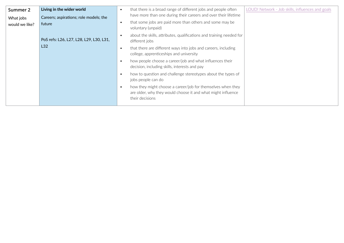| Summer 2       | Living in the wider world               | $\bullet$ | that there is a broad range of different jobs and people often                                                                                 | LOUD! Network - Job skills, influences and goals |
|----------------|-----------------------------------------|-----------|------------------------------------------------------------------------------------------------------------------------------------------------|--------------------------------------------------|
| What jobs      | Careers; aspirations; role models; the  |           | have more than one during their careers and over their lifetime                                                                                |                                                  |
| would we like? | future                                  | $\bullet$ | that some jobs are paid more than others and some may be<br>voluntary (unpaid)                                                                 |                                                  |
|                | PoS refs: L26, L27, L28, L29, L30, L31, | $\bullet$ | about the skills, attributes, qualifications and training needed for<br>different jobs                                                         |                                                  |
|                | L32                                     | $\bullet$ | that there are different ways into jobs and careers, including<br>college, apprenticeships and university                                      |                                                  |
|                |                                         | $\bullet$ | how people choose a career/job and what influences their<br>decision, including skills, interests and pay                                      |                                                  |
|                |                                         | $\bullet$ | how to question and challenge stereotypes about the types of<br>jobs people can do                                                             |                                                  |
|                |                                         | $\bullet$ | how they might choose a career/job for themselves when they<br>are older, why they would choose it and what might influence<br>their decisions |                                                  |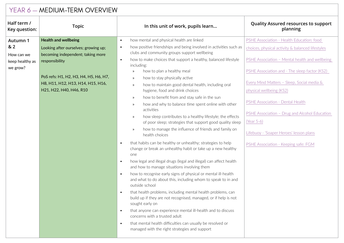| YEAR 6 - MEDIUM-TERM OVERVIEW |                                                                     |                                                                                                                                                                                                                                   |                                                                                               |  |  |
|-------------------------------|---------------------------------------------------------------------|-----------------------------------------------------------------------------------------------------------------------------------------------------------------------------------------------------------------------------------|-----------------------------------------------------------------------------------------------|--|--|
| Half term /<br>Key question:  | <b>Topic</b>                                                        | In this unit of work, pupils learn                                                                                                                                                                                                | <b>Quality Assured resources to support</b><br>planning                                       |  |  |
| Autumn 1<br>& 2               | <b>Health and wellbeing</b><br>Looking after ourselves; growing up; | how mental and physical health are linked<br>$\bullet$<br>how positive friendships and being involved in activities such as<br>$\bullet$                                                                                          | PSHE Association - Health Education: food<br>choices, physical activity & balanced lifestyles |  |  |
| How can we<br>keep healthy as | becoming independent; taking more<br>responsibility                 | clubs and community groups support wellbeing<br>how to make choices that support a healthy, balanced lifestyle<br>$\bullet$                                                                                                       | PSHE Association - Mental health and wellbeing                                                |  |  |
| we grow?                      | PoS refs: H1, H2, H3, H4, H5, H6, H7,                               | including:<br>how to plan a healthy meal<br>$\mathcal{V}$<br>how to stay physically active<br>$\mathcal{V}$                                                                                                                       | PSHE Association and - The sleep factor (KS2)                                                 |  |  |
|                               | H8, H11, H12, H13, H14, H15, H16,<br>H21, H22, H40, H46, R10        | how to maintain good dental health, including oral<br>$\mathcal{V}$<br>hygiene, food and drink choices                                                                                                                            | Every Mind Matters - Sleep, Social media &<br>physical wellbeing (KS2)                        |  |  |
|                               |                                                                     | how to benefit from and stay safe in the sun<br>$\rightarrow$<br>how and why to balance time spent online with other<br>$\mathcal{P}$<br>activities<br>how sleep contributes to a healthy lifestyle; the effects<br>$\rightarrow$ | PSHE Association - Dental Health<br>PSHE Association - Drug and Alcohol Education             |  |  |
|                               |                                                                     | of poor sleep; strategies that support good quality sleep<br>how to manage the influence of friends and family on<br>$\mathcal{P}$<br>health choices                                                                              | (Year 5-6)<br>Lifebuoy - 'Soaper Heroes' lesson plans                                         |  |  |
|                               |                                                                     | that habits can be healthy or unhealthy; strategies to help<br>$\bullet$<br>change or break an unhealthy habit or take up a new healthy<br>one                                                                                    | PSHE Association - Keeping safe: FGM                                                          |  |  |
|                               |                                                                     | how legal and illegal drugs (legal and illegal) can affect health<br>$\bullet$<br>and how to manage situations involving them                                                                                                     |                                                                                               |  |  |
|                               |                                                                     | how to recognise early signs of physical or mental ill-health<br>$\bullet$<br>and what to do about this, including whom to speak to in and<br>outside school                                                                      |                                                                                               |  |  |
|                               |                                                                     | that health problems, including mental health problems, can<br>$\bullet$<br>build up if they are not recognised, managed, or if help is not<br>sought early on                                                                    |                                                                                               |  |  |
|                               |                                                                     | that anyone can experience mental ill-health and to discuss<br>$\bullet$<br>concerns with a trusted adult                                                                                                                         |                                                                                               |  |  |
|                               |                                                                     | that mental health difficulties can usually be resolved or<br>$\bullet$<br>managed with the right strategies and support                                                                                                          |                                                                                               |  |  |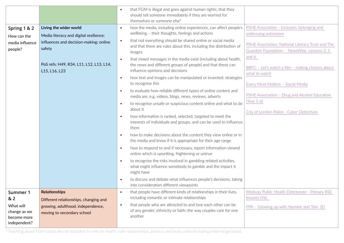|                 |                                         |           | that FGM is illegal and goes against human rights; that they                                                                   |                                                   |
|-----------------|-----------------------------------------|-----------|--------------------------------------------------------------------------------------------------------------------------------|---------------------------------------------------|
|                 |                                         |           | should tell someone immediately if they are worried for                                                                        |                                                   |
|                 |                                         |           | themselves or someone else <sup>1</sup>                                                                                        |                                                   |
| Spring 1 & 2    | Living the wider world                  | $\bullet$ | how the media, including online experiences, can affect people's                                                               | PSHE Association - Inclusion, belonging and       |
| How can the     | Media literacy and digital resilience;  |           | wellbeing - their thoughts, feelings and actions                                                                               | addressing extremism                              |
| media influence | influences and decision-making; online  | $\bullet$ | that not everything should be shared online or social media                                                                    | PSHE Association, National Literacy Trust and The |
| people?         | safety                                  |           | and that there are rules about this, including the distribution of<br>images                                                   | Guardian Foundation - NewsWise, Lessons 3, 5      |
|                 |                                         |           |                                                                                                                                | and 6                                             |
|                 | PoS refs: H49, R34, L11, L12, L13, L14, | $\bullet$ | that mixed messages in the media exist (including about health,<br>the news and different groups of people) and that these can |                                                   |
|                 | L15, L16, L23                           |           | influence opinions and decisions                                                                                               | BBFC - Let's watch a film - making choices about  |
|                 |                                         | $\bullet$ | how text and images can be manipulated or invented; strategies                                                                 | what to watch                                     |
|                 |                                         |           | to recognise this                                                                                                              |                                                   |
|                 |                                         | $\bullet$ | to evaluate how reliable different types of online content and                                                                 | Every Mind Matters - Social Media                 |
|                 |                                         |           | media are, e.g. videos, blogs, news, reviews, adverts                                                                          | PSHE Association - Drug and Alcohol Education     |
|                 |                                         | $\bullet$ | to recognise unsafe or suspicious content online and what to do                                                                | (Year 5-6)                                        |
|                 |                                         |           | about it                                                                                                                       |                                                   |
|                 |                                         | $\bullet$ | how information is ranked, selected, targeted to meet the                                                                      | City of London Police - Cyber Detectives          |
|                 |                                         |           | interests of individuals and groups, and can be used to influence                                                              |                                                   |
|                 |                                         |           | them                                                                                                                           |                                                   |
|                 |                                         | $\bullet$ | how to make decisions about the content they view online or in                                                                 |                                                   |
|                 |                                         |           | the media and know if it is appropriate for their age range                                                                    |                                                   |
|                 |                                         | $\bullet$ | how to respond to and if necessary, report information viewed                                                                  |                                                   |
|                 |                                         |           | online which is upsetting, frightening or untrue                                                                               |                                                   |
|                 |                                         | $\bullet$ | to recognise the risks involved in gambling related activities,                                                                |                                                   |
|                 |                                         |           | what might influence somebody to gamble and the impact it                                                                      |                                                   |
|                 |                                         |           | might have                                                                                                                     |                                                   |
|                 |                                         | $\bullet$ | to discuss and debate what influences people's decisions, taking                                                               |                                                   |
|                 |                                         |           | into consideration different viewpoints                                                                                        |                                                   |
| Summer 1        | <b>Relationships</b>                    | $\bullet$ | that people have different kinds of relationships in their lives,                                                              | Medway Public Health Directorate - Primary RSE    |
| &2              | Different relationships, changing and   |           | including romantic or intimate relationships                                                                                   | lessons (Y6)                                      |
| What will       | growing, adulthood, independence,       | $\bullet$ | that people who are attracted to and love each other can be                                                                    | FPA - Growing up with Yasmine and Tom $(E)$       |
| change as we    | moving to secondary school              |           | of any gender, ethnicity or faith; the way couples care for one                                                                |                                                   |
| become more     |                                         |           | another                                                                                                                        |                                                   |
| independent?    |                                         |           |                                                                                                                                |                                                   |

 $\frac{1}{4}$  Teaching about FGM could also be included in units on health, safe relationships, privacy, and body parts (including external genitalia).